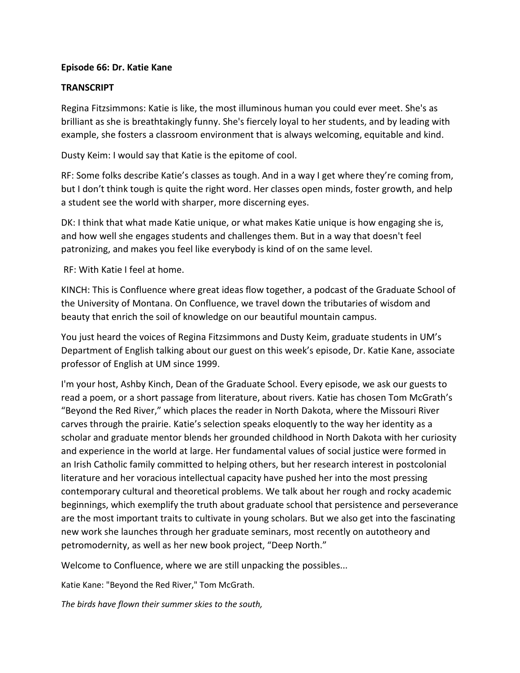## **Episode 66: Dr. Katie Kane**

## **TRANSCRIPT**

Regina Fitzsimmons: Katie is like, the most illuminous human you could ever meet. She's as brilliant as she is breathtakingly funny. She's fiercely loyal to her students, and by leading with example, she fosters a classroom environment that is always welcoming, equitable and kind.

Dusty Keim: I would say that Katie is the epitome of cool.

RF: Some folks describe Katie's classes as tough. And in a way I get where they're coming from, but I don't think tough is quite the right word. Her classes open minds, foster growth, and help a student see the world with sharper, more discerning eyes.

DK: I think that what made Katie unique, or what makes Katie unique is how engaging she is, and how well she engages students and challenges them. But in a way that doesn't feel patronizing, and makes you feel like everybody is kind of on the same level.

RF: With Katie I feel at home.

KINCH: This is Confluence where great ideas flow together, a podcast of the Graduate School of the University of Montana. On Confluence, we travel down the tributaries of wisdom and beauty that enrich the soil of knowledge on our beautiful mountain campus.

You just heard the voices of Regina Fitzsimmons and Dusty Keim, graduate students in UM's Department of English talking about our guest on this week's episode, Dr. Katie Kane, associate professor of English at UM since 1999.

I'm your host, Ashby Kinch, Dean of the Graduate School. Every episode, we ask our guests to read a poem, or a short passage from literature, about rivers. Katie has chosen Tom McGrath's "Beyond the Red River," which places the reader in North Dakota, where the Missouri River carves through the prairie. Katie's selection speaks eloquently to the way her identity as a scholar and graduate mentor blends her grounded childhood in North Dakota with her curiosity and experience in the world at large. Her fundamental values of social justice were formed in an Irish Catholic family committed to helping others, but her research interest in postcolonial literature and her voracious intellectual capacity have pushed her into the most pressing contemporary cultural and theoretical problems. We talk about her rough and rocky academic beginnings, which exemplify the truth about graduate school that persistence and perseverance are the most important traits to cultivate in young scholars. But we also get into the fascinating new work she launches through her graduate seminars, most recently on autotheory and petromodernity, as well as her new book project, "Deep North."

Welcome to Confluence, where we are still unpacking the possibles...

Katie Kane: "Beyond the Red River," Tom McGrath.

*The birds have flown their summer skies to the south,*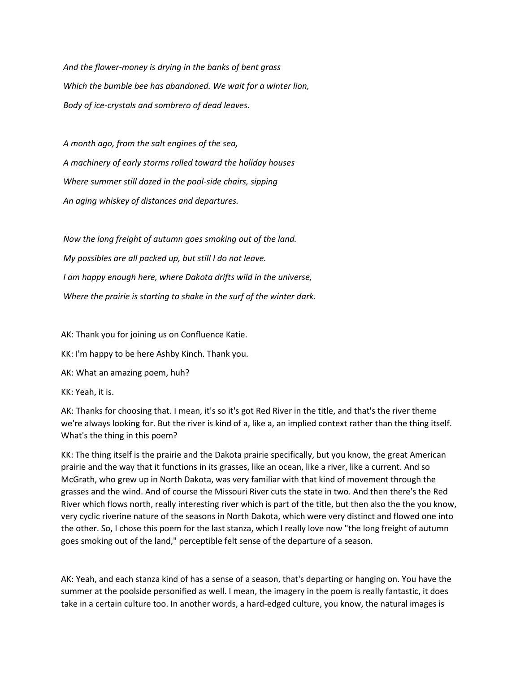*And the flower-money is drying in the banks of bent grass Which the bumble bee has abandoned. We wait for a winter lion, Body of ice-crystals and sombrero of dead leaves.*

*A month ago, from the salt engines of the sea, A machinery of early storms rolled toward the holiday houses Where summer still dozed in the pool-side chairs, sipping An aging whiskey of distances and departures.*

*Now the long freight of autumn goes smoking out of the land. My possibles are all packed up, but still I do not leave. I am happy enough here, where Dakota drifts wild in the universe, Where the prairie is starting to shake in the surf of the winter dark.*

AK: Thank you for joining us on Confluence Katie.

KK: I'm happy to be here Ashby Kinch. Thank you.

AK: What an amazing poem, huh?

KK: Yeah, it is.

AK: Thanks for choosing that. I mean, it's so it's got Red River in the title, and that's the river theme we're always looking for. But the river is kind of a, like a, an implied context rather than the thing itself. What's the thing in this poem?

KK: The thing itself is the prairie and the Dakota prairie specifically, but you know, the great American prairie and the way that it functions in its grasses, like an ocean, like a river, like a current. And so McGrath, who grew up in North Dakota, was very familiar with that kind of movement through the grasses and the wind. And of course the Missouri River cuts the state in two. And then there's the Red River which flows north, really interesting river which is part of the title, but then also the the you know, very cyclic riverine nature of the seasons in North Dakota, which were very distinct and flowed one into the other. So, I chose this poem for the last stanza, which I really love now "the long freight of autumn goes smoking out of the land," perceptible felt sense of the departure of a season.

AK: Yeah, and each stanza kind of has a sense of a season, that's departing or hanging on. You have the summer at the poolside personified as well. I mean, the imagery in the poem is really fantastic, it does take in a certain culture too. In another words, a hard-edged culture, you know, the natural images is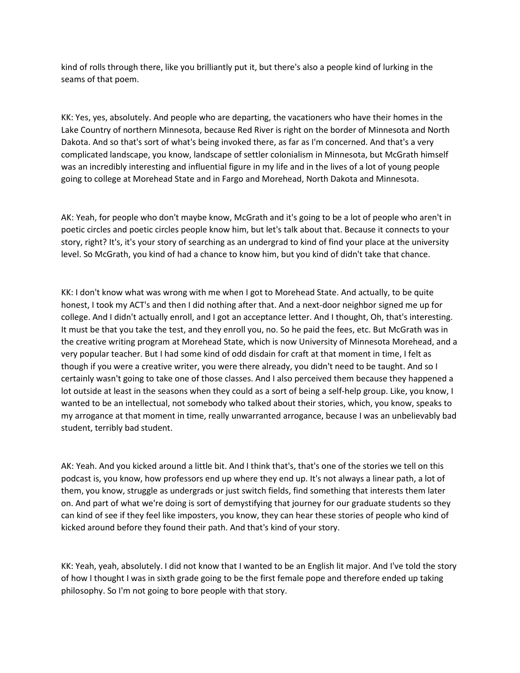kind of rolls through there, like you brilliantly put it, but there's also a people kind of lurking in the seams of that poem.

KK: Yes, yes, absolutely. And people who are departing, the vacationers who have their homes in the Lake Country of northern Minnesota, because Red River is right on the border of Minnesota and North Dakota. And so that's sort of what's being invoked there, as far as I'm concerned. And that's a very complicated landscape, you know, landscape of settler colonialism in Minnesota, but McGrath himself was an incredibly interesting and influential figure in my life and in the lives of a lot of young people going to college at Morehead State and in Fargo and Morehead, North Dakota and Minnesota.

AK: Yeah, for people who don't maybe know, McGrath and it's going to be a lot of people who aren't in poetic circles and poetic circles people know him, but let's talk about that. Because it connects to your story, right? It's, it's your story of searching as an undergrad to kind of find your place at the university level. So McGrath, you kind of had a chance to know him, but you kind of didn't take that chance.

KK: I don't know what was wrong with me when I got to Morehead State. And actually, to be quite honest, I took my ACT's and then I did nothing after that. And a next-door neighbor signed me up for college. And I didn't actually enroll, and I got an acceptance letter. And I thought, Oh, that's interesting. It must be that you take the test, and they enroll you, no. So he paid the fees, etc. But McGrath was in the creative writing program at Morehead State, which is now University of Minnesota Morehead, and a very popular teacher. But I had some kind of odd disdain for craft at that moment in time, I felt as though if you were a creative writer, you were there already, you didn't need to be taught. And so I certainly wasn't going to take one of those classes. And I also perceived them because they happened a lot outside at least in the seasons when they could as a sort of being a self-help group. Like, you know, I wanted to be an intellectual, not somebody who talked about their stories, which, you know, speaks to my arrogance at that moment in time, really unwarranted arrogance, because I was an unbelievably bad student, terribly bad student.

AK: Yeah. And you kicked around a little bit. And I think that's, that's one of the stories we tell on this podcast is, you know, how professors end up where they end up. It's not always a linear path, a lot of them, you know, struggle as undergrads or just switch fields, find something that interests them later on. And part of what we're doing is sort of demystifying that journey for our graduate students so they can kind of see if they feel like imposters, you know, they can hear these stories of people who kind of kicked around before they found their path. And that's kind of your story.

KK: Yeah, yeah, absolutely. I did not know that I wanted to be an English lit major. And I've told the story of how I thought I was in sixth grade going to be the first female pope and therefore ended up taking philosophy. So I'm not going to bore people with that story.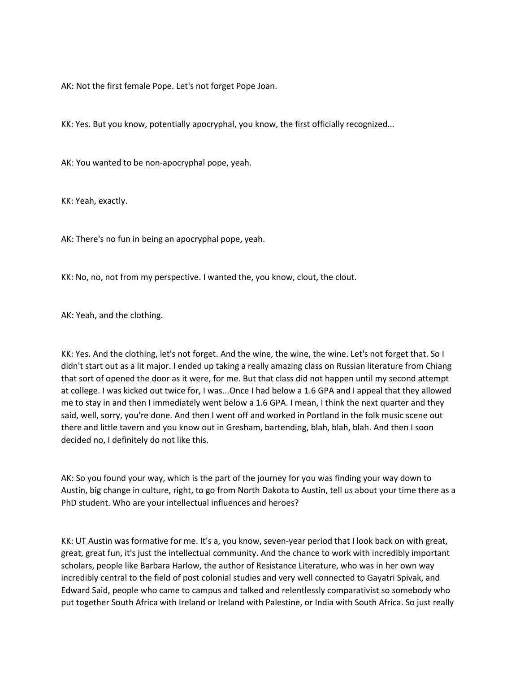AK: Not the first female Pope. Let's not forget Pope Joan.

KK: Yes. But you know, potentially apocryphal, you know, the first officially recognized...

AK: You wanted to be non-apocryphal pope, yeah.

KK: Yeah, exactly.

AK: There's no fun in being an apocryphal pope, yeah.

KK: No, no, not from my perspective. I wanted the, you know, clout, the clout.

AK: Yeah, and the clothing.

KK: Yes. And the clothing, let's not forget. And the wine, the wine, the wine. Let's not forget that. So I didn't start out as a lit major. I ended up taking a really amazing class on Russian literature from Chiang that sort of opened the door as it were, for me. But that class did not happen until my second attempt at college. I was kicked out twice for, I was...Once I had below a 1.6 GPA and I appeal that they allowed me to stay in and then I immediately went below a 1.6 GPA. I mean, I think the next quarter and they said, well, sorry, you're done. And then I went off and worked in Portland in the folk music scene out there and little tavern and you know out in Gresham, bartending, blah, blah, blah. And then I soon decided no, I definitely do not like this.

AK: So you found your way, which is the part of the journey for you was finding your way down to Austin, big change in culture, right, to go from North Dakota to Austin, tell us about your time there as a PhD student. Who are your intellectual influences and heroes?

KK: UT Austin was formative for me. It's a, you know, seven-year period that I look back on with great, great, great fun, it's just the intellectual community. And the chance to work with incredibly important scholars, people like Barbara Harlow, the author of Resistance Literature, who was in her own way incredibly central to the field of post colonial studies and very well connected to Gayatri Spivak, and Edward Said, people who came to campus and talked and relentlessly comparativist so somebody who put together South Africa with Ireland or Ireland with Palestine, or India with South Africa. So just really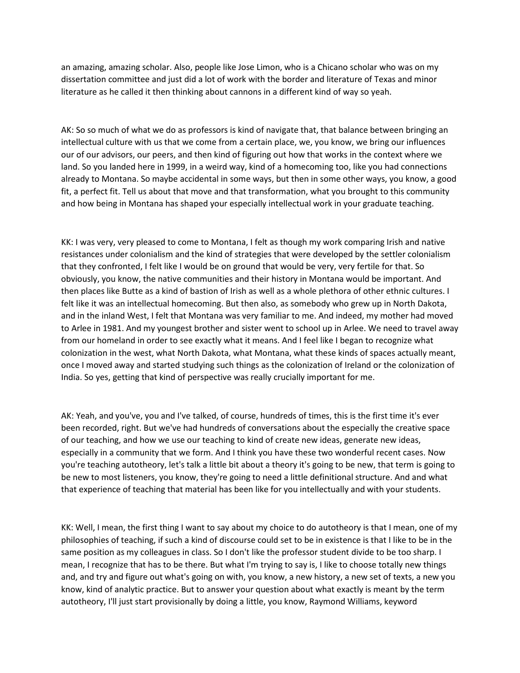an amazing, amazing scholar. Also, people like Jose Limon, who is a Chicano scholar who was on my dissertation committee and just did a lot of work with the border and literature of Texas and minor literature as he called it then thinking about cannons in a different kind of way so yeah.

AK: So so much of what we do as professors is kind of navigate that, that balance between bringing an intellectual culture with us that we come from a certain place, we, you know, we bring our influences our of our advisors, our peers, and then kind of figuring out how that works in the context where we land. So you landed here in 1999, in a weird way, kind of a homecoming too, like you had connections already to Montana. So maybe accidental in some ways, but then in some other ways, you know, a good fit, a perfect fit. Tell us about that move and that transformation, what you brought to this community and how being in Montana has shaped your especially intellectual work in your graduate teaching.

KK: I was very, very pleased to come to Montana, I felt as though my work comparing Irish and native resistances under colonialism and the kind of strategies that were developed by the settler colonialism that they confronted, I felt like I would be on ground that would be very, very fertile for that. So obviously, you know, the native communities and their history in Montana would be important. And then places like Butte as a kind of bastion of Irish as well as a whole plethora of other ethnic cultures. I felt like it was an intellectual homecoming. But then also, as somebody who grew up in North Dakota, and in the inland West, I felt that Montana was very familiar to me. And indeed, my mother had moved to Arlee in 1981. And my youngest brother and sister went to school up in Arlee. We need to travel away from our homeland in order to see exactly what it means. And I feel like I began to recognize what colonization in the west, what North Dakota, what Montana, what these kinds of spaces actually meant, once I moved away and started studying such things as the colonization of Ireland or the colonization of India. So yes, getting that kind of perspective was really crucially important for me.

AK: Yeah, and you've, you and I've talked, of course, hundreds of times, this is the first time it's ever been recorded, right. But we've had hundreds of conversations about the especially the creative space of our teaching, and how we use our teaching to kind of create new ideas, generate new ideas, especially in a community that we form. And I think you have these two wonderful recent cases. Now you're teaching autotheory, let's talk a little bit about a theory it's going to be new, that term is going to be new to most listeners, you know, they're going to need a little definitional structure. And and what that experience of teaching that material has been like for you intellectually and with your students.

KK: Well, I mean, the first thing I want to say about my choice to do autotheory is that I mean, one of my philosophies of teaching, if such a kind of discourse could set to be in existence is that I like to be in the same position as my colleagues in class. So I don't like the professor student divide to be too sharp. I mean, I recognize that has to be there. But what I'm trying to say is, I like to choose totally new things and, and try and figure out what's going on with, you know, a new history, a new set of texts, a new you know, kind of analytic practice. But to answer your question about what exactly is meant by the term autotheory, I'll just start provisionally by doing a little, you know, Raymond Williams, keyword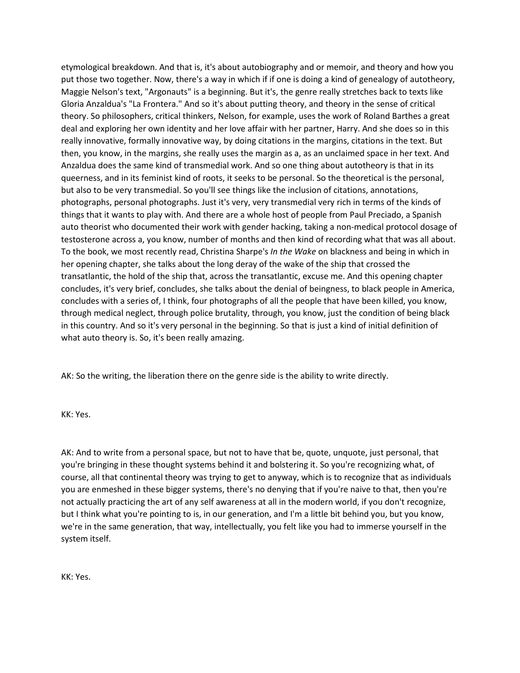etymological breakdown. And that is, it's about autobiography and or memoir, and theory and how you put those two together. Now, there's a way in which if if one is doing a kind of genealogy of autotheory, Maggie Nelson's text, "Argonauts" is a beginning. But it's, the genre really stretches back to texts like Gloria Anzaldua's "La Frontera." And so it's about putting theory, and theory in the sense of critical theory. So philosophers, critical thinkers, Nelson, for example, uses the work of Roland Barthes a great deal and exploring her own identity and her love affair with her partner, Harry. And she does so in this really innovative, formally innovative way, by doing citations in the margins, citations in the text. But then, you know, in the margins, she really uses the margin as a, as an unclaimed space in her text. And Anzaldua does the same kind of transmedial work. And so one thing about autotheory is that in its queerness, and in its feminist kind of roots, it seeks to be personal. So the theoretical is the personal, but also to be very transmedial. So you'll see things like the inclusion of citations, annotations, photographs, personal photographs. Just it's very, very transmedial very rich in terms of the kinds of things that it wants to play with. And there are a whole host of people from Paul Preciado, a Spanish auto theorist who documented their work with gender hacking, taking a non-medical protocol dosage of testosterone across a, you know, number of months and then kind of recording what that was all about. To the book, we most recently read, Christina Sharpe's *In the Wake* on blackness and being in which in her opening chapter, she talks about the long deray of the wake of the ship that crossed the transatlantic, the hold of the ship that, across the transatlantic, excuse me. And this opening chapter concludes, it's very brief, concludes, she talks about the denial of beingness, to black people in America, concludes with a series of, I think, four photographs of all the people that have been killed, you know, through medical neglect, through police brutality, through, you know, just the condition of being black in this country. And so it's very personal in the beginning. So that is just a kind of initial definition of what auto theory is. So, it's been really amazing.

AK: So the writing, the liberation there on the genre side is the ability to write directly.

KK: Yes.

AK: And to write from a personal space, but not to have that be, quote, unquote, just personal, that you're bringing in these thought systems behind it and bolstering it. So you're recognizing what, of course, all that continental theory was trying to get to anyway, which is to recognize that as individuals you are enmeshed in these bigger systems, there's no denying that if you're naive to that, then you're not actually practicing the art of any self awareness at all in the modern world, if you don't recognize, but I think what you're pointing to is, in our generation, and I'm a little bit behind you, but you know, we're in the same generation, that way, intellectually, you felt like you had to immerse yourself in the system itself.

KK: Yes.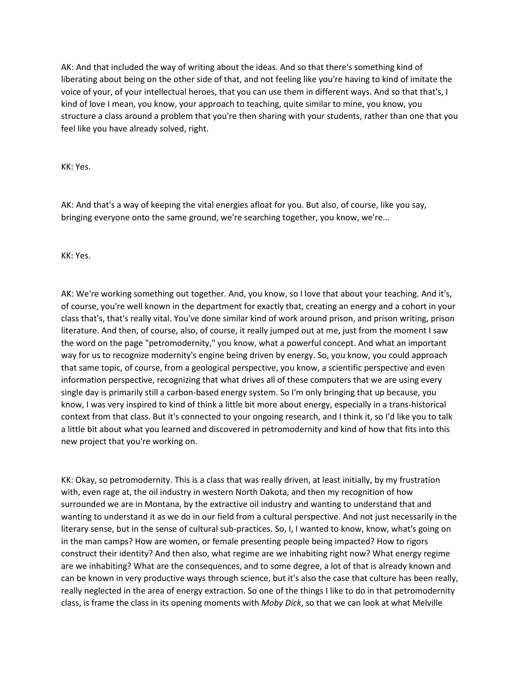AK: And that included the way of writing about the ideas. And so that there's something kind of liberating about being on the other side of that, and not feeling like you're having to kind of imitate the voice of your, of your intellectual heroes, that you can use them in different ways. And so that that's, I kind of love I mean, you know, your approach to teaching, quite similar to mine, you know, you structure a class around a problem that you're then sharing with your students, rather than one that you feel like you have already solved, right.

KK: Yes.

AK: And that's a way of keeping the vital energies afloat for you. But also, of course, like you say, bringing everyone onto the same ground, we're searching together, you know, we're...

KK: Yes.

AK: We're working something out together. And, you know, so I love that about your teaching. And it's, of course, you're well known in the department for exactly that, creating an energy and a cohort in your class that's, that's really vital. You've done similar kind of work around prison, and prison writing, prison literature. And then, of course, also, of course, it really jumped out at me, just from the moment I saw the word on the page "petromodernity," you know, what a powerful concept. And what an important way for us to recognize modernity's engine being driven by energy. So, you know, you could approach that same topic, of course, from a geological perspective, you know, a scientific perspective and even information perspective, recognizing that what drives all of these computers that we are using every single day is primarily still a carbon-based energy system. So I'm only bringing that up because, you know, I was very inspired to kind of think a little bit more about energy, especially in a trans-historical context from that class. But it's connected to your ongoing research, and I think it, so I'd like you to talk a little bit about what you learned and discovered in petromodernity and kind of how that fits into this new project that you're working on.

KK: Okay, so petromodernity. This is a class that was really driven, at least initially, by my frustration with, even rage at, the oil industry in western North Dakota, and then my recognition of how surrounded we are in Montana, by the extractive oil industry and wanting to understand that and wanting to understand it as we do in our field from a cultural perspective. And not just necessarily in the literary sense, but in the sense of cultural sub-practices. So, I, I wanted to know, know, what's going on in the man camps? How are women, or female presenting people being impacted? How to rigors construct their identity? And then also, what regime are we inhabiting right now? What energy regime are we inhabiting? What are the consequences, and to some degree, a lot of that is already known and can be known in very productive ways through science, but it's also the case that culture has been really, really neglected in the area of energy extraction. So one of the things I like to do in that petromodernity class, is frame the class in its opening moments with *Moby Dick*, so that we can look at what Melville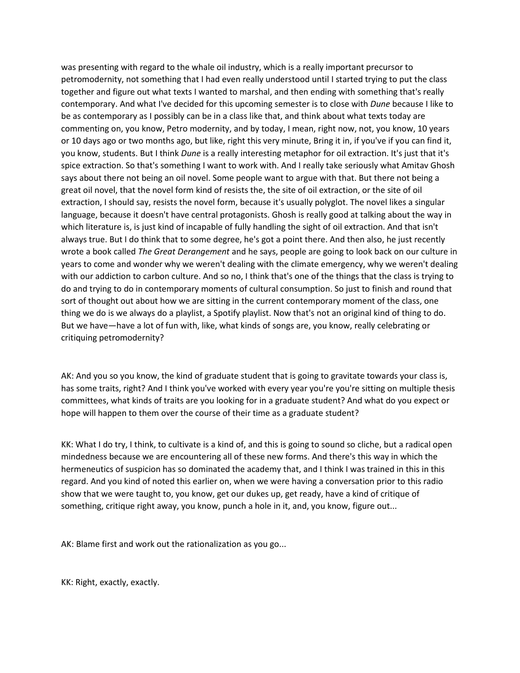was presenting with regard to the whale oil industry, which is a really important precursor to petromodernity, not something that I had even really understood until I started trying to put the class together and figure out what texts I wanted to marshal, and then ending with something that's really contemporary. And what I've decided for this upcoming semester is to close with *Dune* because I like to be as contemporary as I possibly can be in a class like that, and think about what texts today are commenting on, you know, Petro modernity, and by today, I mean, right now, not, you know, 10 years or 10 days ago or two months ago, but like, right this very minute, Bring it in, if you've if you can find it, you know, students. But I think *Dune* is a really interesting metaphor for oil extraction. It's just that it's spice extraction. So that's something I want to work with. And I really take seriously what Amitav Ghosh says about there not being an oil novel. Some people want to argue with that. But there not being a great oil novel, that the novel form kind of resists the, the site of oil extraction, or the site of oil extraction, I should say, resists the novel form, because it's usually polyglot. The novel likes a singular language, because it doesn't have central protagonists. Ghosh is really good at talking about the way in which literature is, is just kind of incapable of fully handling the sight of oil extraction. And that isn't always true. But I do think that to some degree, he's got a point there. And then also, he just recently wrote a book called *The Great Derangement* and he says, people are going to look back on our culture in years to come and wonder why we weren't dealing with the climate emergency, why we weren't dealing with our addiction to carbon culture. And so no, I think that's one of the things that the class is trying to do and trying to do in contemporary moments of cultural consumption. So just to finish and round that sort of thought out about how we are sitting in the current contemporary moment of the class, one thing we do is we always do a playlist, a Spotify playlist. Now that's not an original kind of thing to do. But we have—have a lot of fun with, like, what kinds of songs are, you know, really celebrating or critiquing petromodernity?

AK: And you so you know, the kind of graduate student that is going to gravitate towards your class is, has some traits, right? And I think you've worked with every year you're you're sitting on multiple thesis committees, what kinds of traits are you looking for in a graduate student? And what do you expect or hope will happen to them over the course of their time as a graduate student?

KK: What I do try, I think, to cultivate is a kind of, and this is going to sound so cliche, but a radical open mindedness because we are encountering all of these new forms. And there's this way in which the hermeneutics of suspicion has so dominated the academy that, and I think I was trained in this in this regard. And you kind of noted this earlier on, when we were having a conversation prior to this radio show that we were taught to, you know, get our dukes up, get ready, have a kind of critique of something, critique right away, you know, punch a hole in it, and, you know, figure out...

AK: Blame first and work out the rationalization as you go...

KK: Right, exactly, exactly.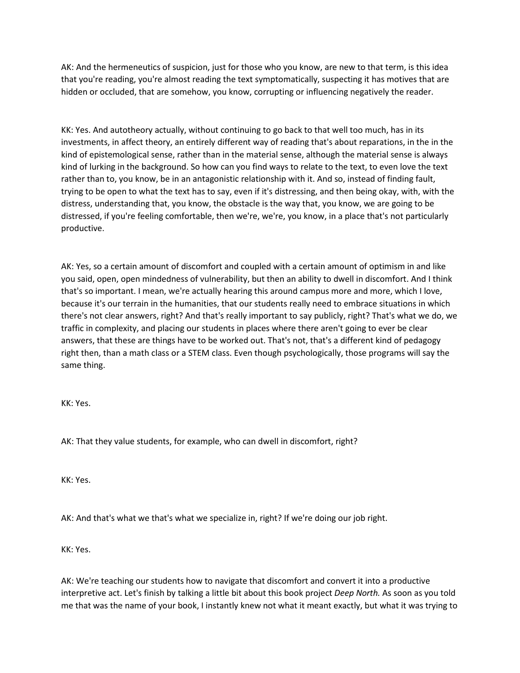AK: And the hermeneutics of suspicion, just for those who you know, are new to that term, is this idea that you're reading, you're almost reading the text symptomatically, suspecting it has motives that are hidden or occluded, that are somehow, you know, corrupting or influencing negatively the reader.

KK: Yes. And autotheory actually, without continuing to go back to that well too much, has in its investments, in affect theory, an entirely different way of reading that's about reparations, in the in the kind of epistemological sense, rather than in the material sense, although the material sense is always kind of lurking in the background. So how can you find ways to relate to the text, to even love the text rather than to, you know, be in an antagonistic relationship with it. And so, instead of finding fault, trying to be open to what the text has to say, even if it's distressing, and then being okay, with, with the distress, understanding that, you know, the obstacle is the way that, you know, we are going to be distressed, if you're feeling comfortable, then we're, we're, you know, in a place that's not particularly productive.

AK: Yes, so a certain amount of discomfort and coupled with a certain amount of optimism in and like you said, open, open mindedness of vulnerability, but then an ability to dwell in discomfort. And I think that's so important. I mean, we're actually hearing this around campus more and more, which I love, because it's our terrain in the humanities, that our students really need to embrace situations in which there's not clear answers, right? And that's really important to say publicly, right? That's what we do, we traffic in complexity, and placing our students in places where there aren't going to ever be clear answers, that these are things have to be worked out. That's not, that's a different kind of pedagogy right then, than a math class or a STEM class. Even though psychologically, those programs will say the same thing.

KK: Yes.

AK: That they value students, for example, who can dwell in discomfort, right?

KK: Yes.

AK: And that's what we that's what we specialize in, right? If we're doing our job right.

KK: Yes.

AK: We're teaching our students how to navigate that discomfort and convert it into a productive interpretive act. Let's finish by talking a little bit about this book project *Deep North.* As soon as you told me that was the name of your book, I instantly knew not what it meant exactly, but what it was trying to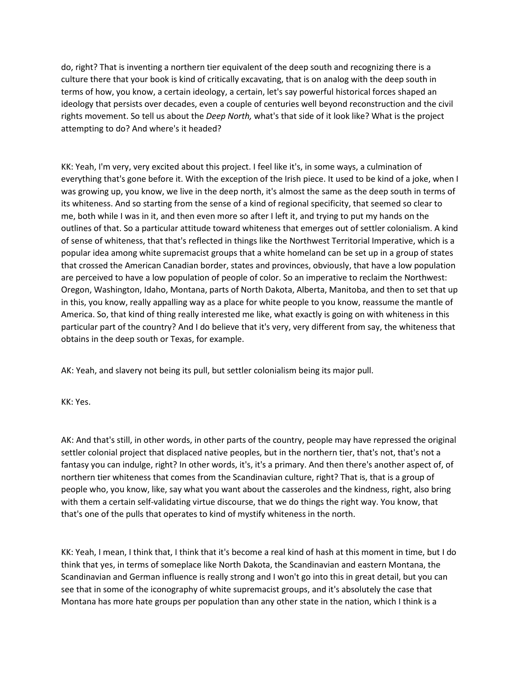do, right? That is inventing a northern tier equivalent of the deep south and recognizing there is a culture there that your book is kind of critically excavating, that is on analog with the deep south in terms of how, you know, a certain ideology, a certain, let's say powerful historical forces shaped an ideology that persists over decades, even a couple of centuries well beyond reconstruction and the civil rights movement. So tell us about the *Deep North,* what's that side of it look like? What is the project attempting to do? And where's it headed?

KK: Yeah, I'm very, very excited about this project. I feel like it's, in some ways, a culmination of everything that's gone before it. With the exception of the Irish piece. It used to be kind of a joke, when I was growing up, you know, we live in the deep north, it's almost the same as the deep south in terms of its whiteness. And so starting from the sense of a kind of regional specificity, that seemed so clear to me, both while I was in it, and then even more so after I left it, and trying to put my hands on the outlines of that. So a particular attitude toward whiteness that emerges out of settler colonialism. A kind of sense of whiteness, that that's reflected in things like the Northwest Territorial Imperative, which is a popular idea among white supremacist groups that a white homeland can be set up in a group of states that crossed the American Canadian border, states and provinces, obviously, that have a low population are perceived to have a low population of people of color. So an imperative to reclaim the Northwest: Oregon, Washington, Idaho, Montana, parts of North Dakota, Alberta, Manitoba, and then to set that up in this, you know, really appalling way as a place for white people to you know, reassume the mantle of America. So, that kind of thing really interested me like, what exactly is going on with whiteness in this particular part of the country? And I do believe that it's very, very different from say, the whiteness that obtains in the deep south or Texas, for example.

AK: Yeah, and slavery not being its pull, but settler colonialism being its major pull.

KK: Yes.

AK: And that's still, in other words, in other parts of the country, people may have repressed the original settler colonial project that displaced native peoples, but in the northern tier, that's not, that's not a fantasy you can indulge, right? In other words, it's, it's a primary. And then there's another aspect of, of northern tier whiteness that comes from the Scandinavian culture, right? That is, that is a group of people who, you know, like, say what you want about the casseroles and the kindness, right, also bring with them a certain self-validating virtue discourse, that we do things the right way. You know, that that's one of the pulls that operates to kind of mystify whiteness in the north.

KK: Yeah, I mean, I think that, I think that it's become a real kind of hash at this moment in time, but I do think that yes, in terms of someplace like North Dakota, the Scandinavian and eastern Montana, the Scandinavian and German influence is really strong and I won't go into this in great detail, but you can see that in some of the iconography of white supremacist groups, and it's absolutely the case that Montana has more hate groups per population than any other state in the nation, which I think is a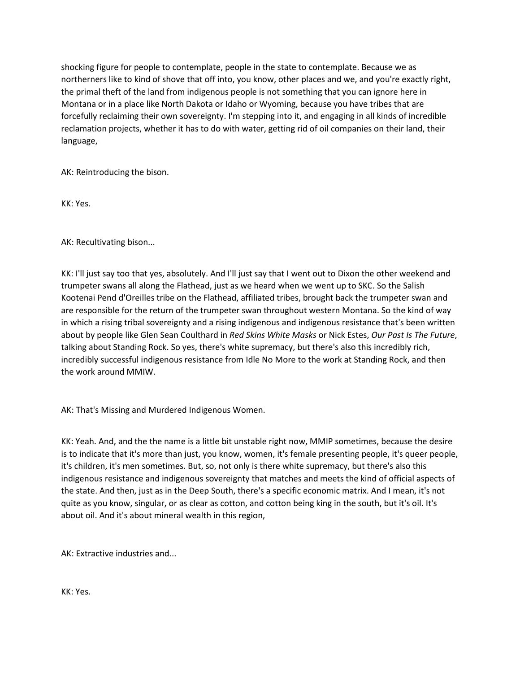shocking figure for people to contemplate, people in the state to contemplate. Because we as northerners like to kind of shove that off into, you know, other places and we, and you're exactly right, the primal theft of the land from indigenous people is not something that you can ignore here in Montana or in a place like North Dakota or Idaho or Wyoming, because you have tribes that are forcefully reclaiming their own sovereignty. I'm stepping into it, and engaging in all kinds of incredible reclamation projects, whether it has to do with water, getting rid of oil companies on their land, their language,

AK: Reintroducing the bison.

KK: Yes.

AK: Recultivating bison...

KK: I'll just say too that yes, absolutely. And I'll just say that I went out to Dixon the other weekend and trumpeter swans all along the Flathead, just as we heard when we went up to SKC. So the Salish Kootenai Pend d'Oreilles tribe on the Flathead, affiliated tribes, brought back the trumpeter swan and are responsible for the return of the trumpeter swan throughout western Montana. So the kind of way in which a rising tribal sovereignty and a rising indigenous and indigenous resistance that's been written about by people like Glen Sean Coulthard in *Red Skins White Masks* or Nick Estes, *Our Past Is The Future*, talking about Standing Rock. So yes, there's white supremacy, but there's also this incredibly rich, incredibly successful indigenous resistance from Idle No More to the work at Standing Rock, and then the work around MMIW.

AK: That's Missing and Murdered Indigenous Women.

KK: Yeah. And, and the the name is a little bit unstable right now, MMIP sometimes, because the desire is to indicate that it's more than just, you know, women, it's female presenting people, it's queer people, it's children, it's men sometimes. But, so, not only is there white supremacy, but there's also this indigenous resistance and indigenous sovereignty that matches and meets the kind of official aspects of the state. And then, just as in the Deep South, there's a specific economic matrix. And I mean, it's not quite as you know, singular, or as clear as cotton, and cotton being king in the south, but it's oil. It's about oil. And it's about mineral wealth in this region,

AK: Extractive industries and...

KK: Yes.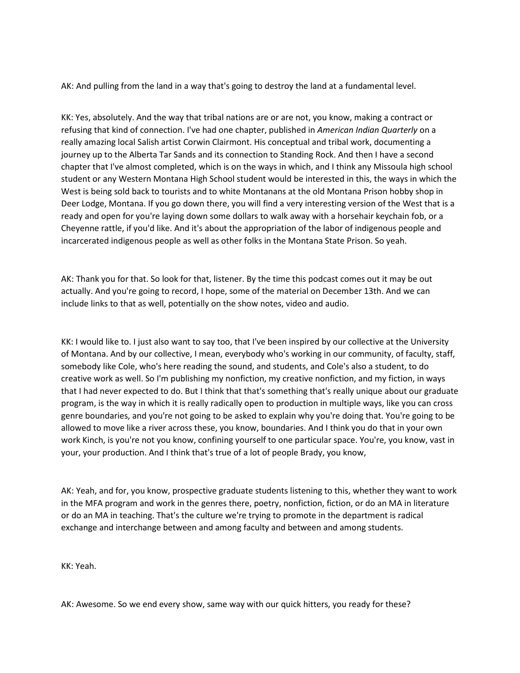AK: And pulling from the land in a way that's going to destroy the land at a fundamental level.

KK: Yes, absolutely. And the way that tribal nations are or are not, you know, making a contract or refusing that kind of connection. I've had one chapter, published in *American Indian Quarterly* on a really amazing local Salish artist Corwin Clairmont. His conceptual and tribal work, documenting a journey up to the Alberta Tar Sands and its connection to Standing Rock. And then I have a second chapter that I've almost completed, which is on the ways in which, and I think any Missoula high school student or any Western Montana High School student would be interested in this, the ways in which the West is being sold back to tourists and to white Montanans at the old Montana Prison hobby shop in Deer Lodge, Montana. If you go down there, you will find a very interesting version of the West that is a ready and open for you're laying down some dollars to walk away with a horsehair keychain fob, or a Cheyenne rattle, if you'd like. And it's about the appropriation of the labor of indigenous people and incarcerated indigenous people as well as other folks in the Montana State Prison. So yeah.

AK: Thank you for that. So look for that, listener. By the time this podcast comes out it may be out actually. And you're going to record, I hope, some of the material on December 13th. And we can include links to that as well, potentially on the show notes, video and audio.

KK: I would like to. I just also want to say too, that I've been inspired by our collective at the University of Montana. And by our collective, I mean, everybody who's working in our community, of faculty, staff, somebody like Cole, who's here reading the sound, and students, and Cole's also a student, to do creative work as well. So I'm publishing my nonfiction, my creative nonfiction, and my fiction, in ways that I had never expected to do. But I think that that's something that's really unique about our graduate program, is the way in which it is really radically open to production in multiple ways, like you can cross genre boundaries, and you're not going to be asked to explain why you're doing that. You're going to be allowed to move like a river across these, you know, boundaries. And I think you do that in your own work Kinch, is you're not you know, confining yourself to one particular space. You're, you know, vast in your, your production. And I think that's true of a lot of people Brady, you know,

AK: Yeah, and for, you know, prospective graduate students listening to this, whether they want to work in the MFA program and work in the genres there, poetry, nonfiction, fiction, or do an MA in literature or do an MA in teaching. That's the culture we're trying to promote in the department is radical exchange and interchange between and among faculty and between and among students.

KK: Yeah.

AK: Awesome. So we end every show, same way with our quick hitters, you ready for these?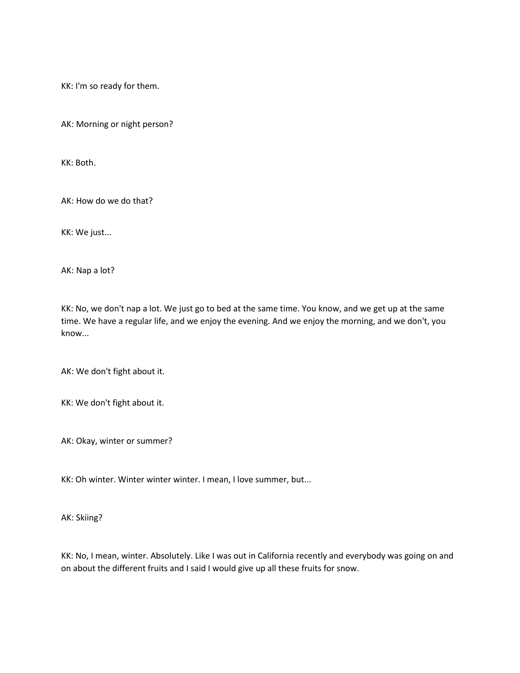KK: I'm so ready for them.

AK: Morning or night person?

KK: Both.

AK: How do we do that?

KK: We just...

AK: Nap a lot?

KK: No, we don't nap a lot. We just go to bed at the same time. You know, and we get up at the same time. We have a regular life, and we enjoy the evening. And we enjoy the morning, and we don't, you know...

AK: We don't fight about it.

KK: We don't fight about it.

AK: Okay, winter or summer?

KK: Oh winter. Winter winter winter. I mean, I love summer, but...

AK: Skiing?

KK: No, I mean, winter. Absolutely. Like I was out in California recently and everybody was going on and on about the different fruits and I said I would give up all these fruits for snow.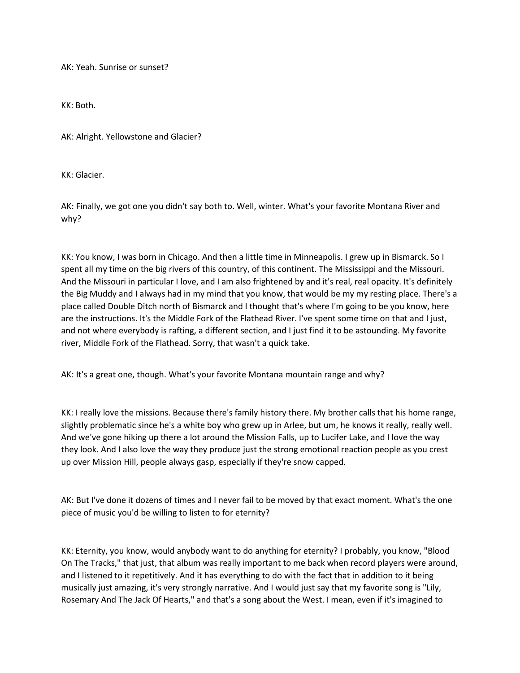AK: Yeah. Sunrise or sunset?

KK: Both.

AK: Alright. Yellowstone and Glacier?

KK: Glacier.

AK: Finally, we got one you didn't say both to. Well, winter. What's your favorite Montana River and why?

KK: You know, I was born in Chicago. And then a little time in Minneapolis. I grew up in Bismarck. So I spent all my time on the big rivers of this country, of this continent. The Mississippi and the Missouri. And the Missouri in particular I love, and I am also frightened by and it's real, real opacity. It's definitely the Big Muddy and I always had in my mind that you know, that would be my my resting place. There's a place called Double Ditch north of Bismarck and I thought that's where I'm going to be you know, here are the instructions. It's the Middle Fork of the Flathead River. I've spent some time on that and I just, and not where everybody is rafting, a different section, and I just find it to be astounding. My favorite river, Middle Fork of the Flathead. Sorry, that wasn't a quick take.

AK: It's a great one, though. What's your favorite Montana mountain range and why?

KK: I really love the missions. Because there's family history there. My brother calls that his home range, slightly problematic since he's a white boy who grew up in Arlee, but um, he knows it really, really well. And we've gone hiking up there a lot around the Mission Falls, up to Lucifer Lake, and I love the way they look. And I also love the way they produce just the strong emotional reaction people as you crest up over Mission Hill, people always gasp, especially if they're snow capped.

AK: But I've done it dozens of times and I never fail to be moved by that exact moment. What's the one piece of music you'd be willing to listen to for eternity?

KK: Eternity, you know, would anybody want to do anything for eternity? I probably, you know, "Blood On The Tracks," that just, that album was really important to me back when record players were around, and I listened to it repetitively. And it has everything to do with the fact that in addition to it being musically just amazing, it's very strongly narrative. And I would just say that my favorite song is "Lily, Rosemary And The Jack Of Hearts," and that's a song about the West. I mean, even if it's imagined to